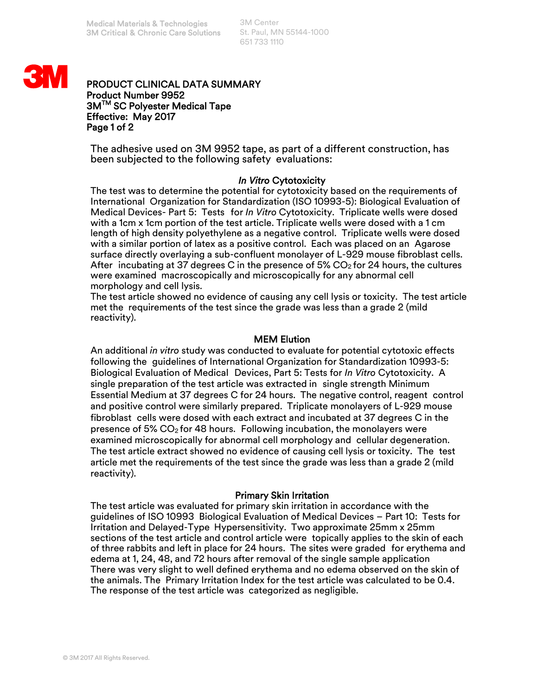3M Center St. Paul, MN 55144-1000 651 733 1110



## PRODUCT CLINICAL DATA SUMMARY Product Number 9952 3M<sup>™</sup> SC Polyester Medical Tape Effective: May 2017 Page 1 of 2

The adhesive used on 3M 9952 tape, as part of a different construction, has been subjected to the following safety evaluations:

## *In Vitro* Cytotoxicity

The test was to determine the potential for cytotoxicity based on the requirements of International Organization for Standardization (ISO 10993-5): Biological Evaluation of Medical Devices- Part 5: Tests for *In Vitro* Cytotoxicity. Triplicate wells were dosed with a 1cm x 1cm portion of the test article. Triplicate wells were dosed with a 1 cm length of high density polyethylene as a negative control. Triplicate wells were dosed with a similar portion of latex as a positive control. Each was placed on an Agarose surface directly overlaying a sub-confluent monolayer of L-929 mouse fibroblast cells. After incubating at 37 degrees C in the presence of 5%  $CO<sub>2</sub>$  for 24 hours, the cultures were examined macroscopically and microscopically for any abnormal cell morphology and cell lysis.

The test article showed no evidence of causing any cell lysis or toxicity. The test article met the requirements of the test since the grade was less than a grade 2 (mild reactivity).

# MEM Elution

An additional *in vitro* study was conducted to evaluate for potential cytotoxic effects following the guidelines of International Organization for Standardization 10993-5: Biological Evaluation of Medical Devices, Part 5: Tests for *In Vitro* Cytotoxicity. A single preparation of the test article was extracted in single strength Minimum Essential Medium at 37 degrees C for 24 hours. The negative control, reagent control and positive control were similarly prepared. Triplicate monolayers of L-929 mouse fibroblast cells were dosed with each extract and incubated at 37 degrees C in the presence of 5%  $CO<sub>2</sub>$  for 48 hours. Following incubation, the monolayers were examined microscopically for abnormal cell morphology and cellular degeneration. The test article extract showed no evidence of causing cell lysis or toxicity. The test article met the requirements of the test since the grade was less than a grade 2 (mild reactivity).

## Primary Skin Irritation

The test article was evaluated for primary skin irritation in accordance with the guidelines of ISO 10993 Biological Evaluation of Medical Devices – Part 10: Tests for Irritation and Delayed-Type Hypersensitivity. Two approximate 25mm x 25mm sections of the test article and control article were topically applies to the skin of each of three rabbits and left in place for 24 hours. The sites were graded for erythema and edema at 1, 24, 48, and 72 hours after removal of the single sample application There was very slight to well defined erythema and no edema observed on the skin of the animals. The Primary Irritation Index for the test article was calculated to be 0.4. The response of the test article was categorized as negligible.